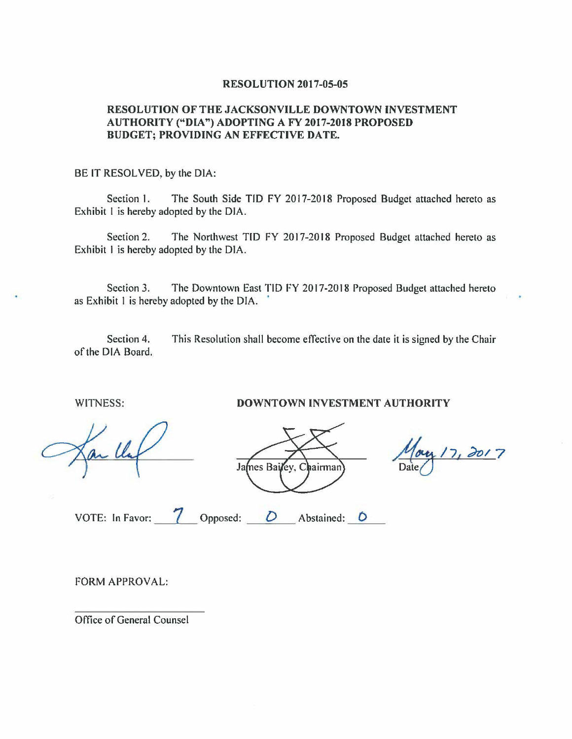## **RESOLUTION 2017-05-05**

## **RESOLUTION OF THE JACKSONVILLE DOWNTOWN INVESTMENT AUTHORITY {4<sup>4</sup> DIA") ADOPTING A FY 2017-2018 PROPOSED BUDGET: PROVIDING AN EFFECTIVE DATE.**

## BE IT RESOLVED, by the DIA:

Section I. The South Side TIO FY 2017-2018 Proposed Budget attached hereto as Exhibit I is hereby adopted by the DIA.

Section 2. The Northwest TIO FY 2017-2018 Proposed Budget attached hereto as Exhibit I is hereby adopted by the DIA.

Section 3. The Downtown East TIO FY 2017-2018 Proposed Budget attached hereto as Exhibit 1 is hereby adopted by the DIA. '

Section 4. of the DIA Board. This Resolution shall become effective on the date it is signed by the Chair

WITNESS:

**DOWNTOWN INVESTMENT AUTHORITY** 

James Bailey, Chairman

May 17, 2017 Date<sub>l</sub>

VOTE: In Favor:

**7** Opposed: *\_\_ D \_\_* Abstained: **<sup>0</sup>**

FORM APPROVAL:

Office of General Counsel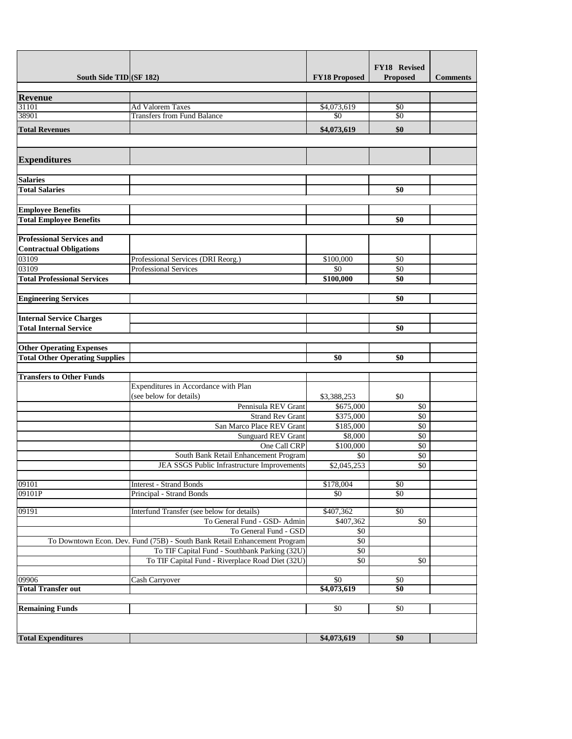|                                                                          |                                                                           |                        | FY18 Revised     |                 |
|--------------------------------------------------------------------------|---------------------------------------------------------------------------|------------------------|------------------|-----------------|
| South Side TID (SF 182)                                                  |                                                                           | <b>FY18 Proposed</b>   | <b>Proposed</b>  | <b>Comments</b> |
| <b>Revenue</b>                                                           |                                                                           |                        |                  |                 |
| 31101                                                                    | <b>Ad Valorem Taxes</b>                                                   | \$4,073,619            | \$0              |                 |
| 38901                                                                    | <b>Transfers from Fund Balance</b>                                        | \$0                    | $\overline{50}$  |                 |
| <b>Total Revenues</b>                                                    |                                                                           | \$4,073,619            | \$0              |                 |
| <b>Expenditures</b>                                                      |                                                                           |                        |                  |                 |
| <b>Salaries</b>                                                          |                                                                           |                        |                  |                 |
| <b>Total Salaries</b>                                                    |                                                                           |                        | \$0              |                 |
| <b>Employee Benefits</b>                                                 |                                                                           |                        |                  |                 |
| <b>Total Employee Benefits</b>                                           |                                                                           |                        | \$0              |                 |
| <b>Professional Services and</b><br><b>Contractual Obligations</b>       |                                                                           |                        |                  |                 |
| 03109                                                                    | Professional Services (DRI Reorg.)                                        | \$100,000              | \$0              |                 |
| 03109                                                                    | <b>Professional Services</b>                                              | \$0                    | \$0              |                 |
| <b>Total Professional Services</b>                                       |                                                                           | \$100,000              | \$0              |                 |
|                                                                          |                                                                           |                        |                  |                 |
| <b>Engineering Services</b>                                              |                                                                           |                        | \$0              |                 |
| <b>Internal Service Charges</b>                                          |                                                                           |                        |                  |                 |
| <b>Total Internal Service</b>                                            |                                                                           |                        | \$0              |                 |
|                                                                          |                                                                           |                        |                  |                 |
| <b>Other Operating Expenses</b><br><b>Total Other Operating Supplies</b> |                                                                           | \$0                    | \$0              |                 |
|                                                                          |                                                                           |                        |                  |                 |
| <b>Transfers to Other Funds</b>                                          |                                                                           |                        |                  |                 |
|                                                                          | Expenditures in Accordance with Plan                                      |                        |                  |                 |
|                                                                          | (see below for details)                                                   | \$3,388,253            | \$0              |                 |
|                                                                          | Pennisula REV Grant                                                       | \$675,000              | \$0              |                 |
|                                                                          | <b>Strand Rev Grant</b><br>San Marco Place REV Grant                      | \$375,000<br>\$185,000 | \$0<br>\$0       |                 |
|                                                                          | <b>Sunguard REV Grant</b>                                                 | \$8,000                | \$0              |                 |
|                                                                          | One Call CRP                                                              | \$100,000              | \$0              |                 |
|                                                                          | South Bank Retail Enhancement Program                                     | \$0                    | \$0              |                 |
|                                                                          | JEA SSGS Public Infrastructure Improvements                               | \$2,045,253            | \$0              |                 |
| 09101                                                                    | <b>Interest - Strand Bonds</b>                                            | \$178,004              | \$0              |                 |
| 09101P                                                                   | <b>Principal - Strand Bonds</b>                                           | \$0                    | \$0              |                 |
| 09191                                                                    | Interfund Transfer (see below for details)                                | \$407,362              | $\overline{50}$  |                 |
|                                                                          | To General Fund - GSD- Admin                                              | \$407,362              | \$0              |                 |
|                                                                          | To General Fund - GSD                                                     | \$0                    |                  |                 |
|                                                                          | To Downtown Econ. Dev. Fund (75B) - South Bank Retail Enhancement Program | \$0                    |                  |                 |
|                                                                          | To TIF Capital Fund - Southbank Parking (32U)                             | \$0                    |                  |                 |
|                                                                          | To TIF Capital Fund - Riverplace Road Diet (32U)                          | \$0                    | \$0              |                 |
| 09906                                                                    | <b>Cash Carryover</b>                                                     | $\overline{50}$        | \$0              |                 |
| <b>Total Transfer out</b>                                                |                                                                           | \$4,073,619            | $\overline{\$0}$ |                 |
|                                                                          |                                                                           |                        |                  |                 |
| <b>Remaining Funds</b>                                                   |                                                                           | \$0                    | \$0              |                 |
|                                                                          |                                                                           |                        |                  |                 |
| <b>Total Expenditures</b>                                                |                                                                           | \$4,073,619            | \$0              |                 |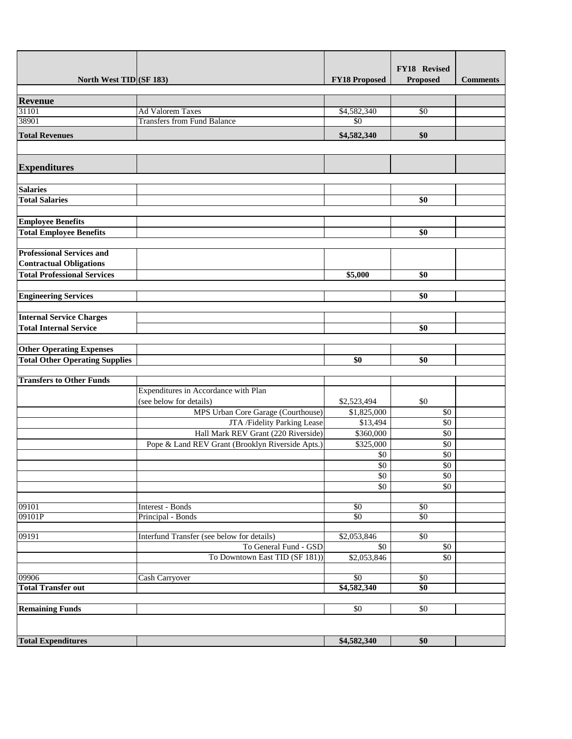|                                       |                                                  |                      | FY18 Revised     |                 |
|---------------------------------------|--------------------------------------------------|----------------------|------------------|-----------------|
| North West TID (SF 183)               |                                                  | <b>FY18 Proposed</b> | <b>Proposed</b>  | <b>Comments</b> |
|                                       |                                                  |                      |                  |                 |
| <b>Revenue</b>                        |                                                  |                      |                  |                 |
| 31101                                 | <b>Ad Valorem Taxes</b>                          | \$4,582,340          | $\overline{50}$  |                 |
| 38901                                 | <b>Transfers from Fund Balance</b>               | \$0                  |                  |                 |
| <b>Total Revenues</b>                 |                                                  | \$4,582,340          | \$0              |                 |
|                                       |                                                  |                      |                  |                 |
|                                       |                                                  |                      |                  |                 |
| <b>Expenditures</b>                   |                                                  |                      |                  |                 |
|                                       |                                                  |                      |                  |                 |
| <b>Salaries</b>                       |                                                  |                      |                  |                 |
| <b>Total Salaries</b>                 |                                                  |                      | \$0              |                 |
| <b>Employee Benefits</b>              |                                                  |                      |                  |                 |
| <b>Total Employee Benefits</b>        |                                                  |                      | \$0              |                 |
|                                       |                                                  |                      |                  |                 |
| <b>Professional Services and</b>      |                                                  |                      |                  |                 |
| <b>Contractual Obligations</b>        |                                                  |                      |                  |                 |
| <b>Total Professional Services</b>    |                                                  | \$5,000              | \$0              |                 |
|                                       |                                                  |                      |                  |                 |
| <b>Engineering Services</b>           |                                                  |                      | \$0              |                 |
|                                       |                                                  |                      |                  |                 |
| <b>Internal Service Charges</b>       |                                                  |                      |                  |                 |
| <b>Total Internal Service</b>         |                                                  |                      | \$0              |                 |
|                                       |                                                  |                      |                  |                 |
| <b>Other Operating Expenses</b>       |                                                  |                      |                  |                 |
| <b>Total Other Operating Supplies</b> |                                                  | \$0                  | \$0              |                 |
| <b>Transfers to Other Funds</b>       |                                                  |                      |                  |                 |
|                                       | Expenditures in Accordance with Plan             |                      |                  |                 |
|                                       | (see below for details)                          | \$2,523,494          | \$0              |                 |
|                                       | MPS Urban Core Garage (Courthouse)               | \$1,825,000          | \$0              |                 |
|                                       | JTA /Fidelity Parking Lease                      | \$13,494             | \$0              |                 |
|                                       | Hall Mark REV Grant (220 Riverside)              | \$360,000            | \$0              |                 |
|                                       | Pope & Land REV Grant (Brooklyn Riverside Apts.) | \$325,000            | \$0              |                 |
|                                       |                                                  | \$0                  | \$0              |                 |
|                                       |                                                  | \$0                  | \$0              |                 |
|                                       |                                                  | \$0                  | \$0              |                 |
|                                       |                                                  | \$0                  | \$0              |                 |
| 09101                                 | Interest - Bonds                                 | \$0                  | \$0              |                 |
| 09101P                                | Principal - Bonds                                | $\overline{50}$      | \$0              |                 |
|                                       |                                                  |                      |                  |                 |
| 09191                                 | Interfund Transfer (see below for details)       | \$2,053,846          | $\sqrt{50}$      |                 |
|                                       | To General Fund - GSD                            | \$0                  | \$0              |                 |
|                                       | To Downtown East TID (SF 181))                   | \$2,053,846          | \$0              |                 |
| 09906                                 |                                                  | $\overline{50}$      | \$0              |                 |
| <b>Total Transfer out</b>             | <b>Cash Carryover</b>                            | \$4,582,340          | $\overline{\$0}$ |                 |
|                                       |                                                  |                      |                  |                 |
| <b>Remaining Funds</b>                |                                                  | \$0                  | \$0              |                 |
|                                       |                                                  |                      |                  |                 |
|                                       |                                                  |                      |                  |                 |
| <b>Total Expenditures</b>             |                                                  | \$4,582,340          | \$0              |                 |